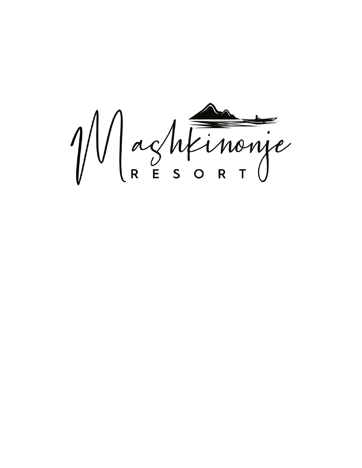Maghtinonie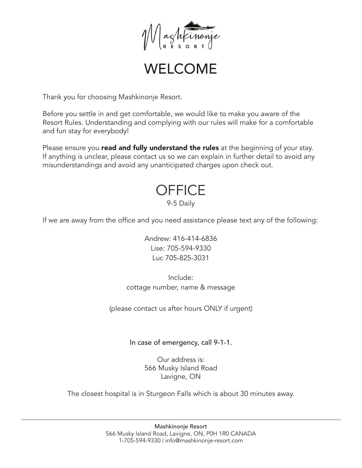

### WELCOME

Thank you for choosing Mashkinonje Resort.

Before you settle in and get comfortable, we would like to make you aware of the Resort Rules. Understanding and complying with our rules will make for a comfortable and fun stay for everybody!

Please ensure you **read and fully understand the rules** at the beginning of your stay. If anything is unclear, please contact us so we can explain in further detail to avoid any misunderstandings and avoid any unanticipated charges upon check out.

#### **OFFICE** 9-5 Daily

If we are away from the office and you need assistance please text any of the following:

Andrew: 416-414-6836 Lise: 705-594-9330 Luc 705-825-3031

Include: cottage number, name & message

(please contact us after hours ONLY if urgent)

In case of emergency, call 9-1-1.

Our address is: 566 Musky Island Road Lavigne, ON

The closest hospital is in Sturgeon Falls which is about 30 minutes away.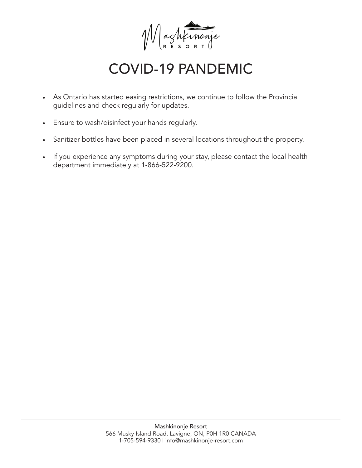

### COVID-19 PANDEMIC

- As Ontario has started easing restrictions, we continue to follow the Provincial guidelines and check regularly for updates.
- Ensure to wash/disinfect your hands regularly.
- Sanitizer bottles have been placed in several locations throughout the property.
- If you experience any symptoms during your stay, please contact the local health department immediately at 1-866-522-9200.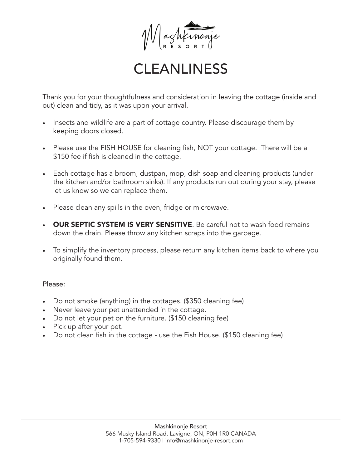

### **CLEANLINESS**

Thank you for your thoughtfulness and consideration in leaving the cottage (inside and out) clean and tidy, as it was upon your arrival.

- Insects and wildlife are a part of cottage country. Please discourage them by keeping doors closed.
- Please use the FISH HOUSE for cleaning fish, NOT your cottage. There will be a \$150 fee if fish is cleaned in the cottage.
- Each cottage has a broom, dustpan, mop, dish soap and cleaning products (under the kitchen and/or bathroom sinks). If any products run out during your stay, please let us know so we can replace them.
- Please clean any spills in the oven, fridge or microwave.
- OUR SEPTIC SYSTEM IS VERY SENSITIVE. Be careful not to wash food remains down the drain. Please throw any kitchen scraps into the garbage.
- To simplify the inventory process, please return any kitchen items back to where you originally found them.

#### Please:

- Do not smoke (anything) in the cottages. (\$350 cleaning fee)
- Never leave your pet unattended in the cottage.
- Do not let your pet on the furniture. (\$150 cleaning fee)
- Pick up after your pet.
- Do not clean fish in the cottage use the Fish House. (\$150 cleaning fee)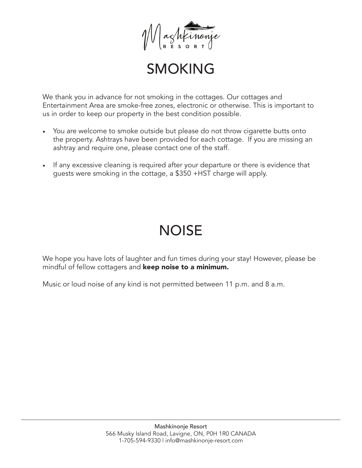

### SMOKING

We thank you in advance for not smoking in the cottages. Our cottages and Entertainment Area are smoke-free zones, electronic or otherwise. This is important to us in order to keep our property in the best condition possible.

- You are welcome to smoke outside but please do not throw cigarette butts onto the property. Ashtrays have been provided for each cottage. If you are missing an ashtray and require one, please contact one of the staff.
- If any excessive cleaning is required after your departure or there is evidence that guests were smoking in the cottage, a \$350 +HST charge will apply.

# **NOISE**

We hope you have lots of laughter and fun times during your stay! However, please be mindful of fellow cottagers and keep noise to a minimum.

Music or loud noise of any kind is not permitted between 11 p.m. and 8 a.m.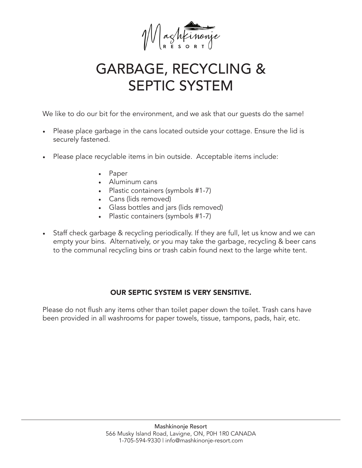

# GARBAGE, RECYCLING & SEPTIC SYSTEM

We like to do our bit for the environment, and we ask that our guests do the same!

- Please place garbage in the cans located outside your cottage. Ensure the lid is securely fastened.
- Please place recyclable items in bin outside. Acceptable items include:
	- Paper
	- Aluminum cans
	- Plastic containers (symbols #1-7)
	- Cans (lids removed)
	- Glass bottles and jars (lids removed)
	- Plastic containers (symbols #1-7)
- Staff check garbage & recycling periodically. If they are full, let us know and we can empty your bins. Alternatively, or you may take the garbage, recycling & beer cans to the communal recycling bins or trash cabin found next to the large white tent.

#### OUR SEPTIC SYSTEM IS VERY SENSITIVE.

Please do not flush any items other than toilet paper down the toilet. Trash cans have been provided in all washrooms for paper towels, tissue, tampons, pads, hair, etc.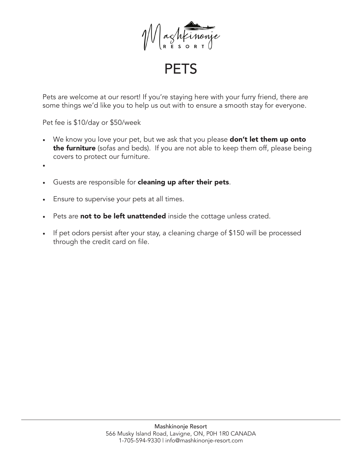

**PETS** 

Pets are welcome at our resort! If you're staying here with your furry friend, there are some things we'd like you to help us out with to ensure a smooth stay for everyone.

Pet fee is \$10/day or \$50/week

- We know you love your pet, but we ask that you please **don't let them up onto** the furniture (sofas and beds). If you are not able to keep them off, please being covers to protect our furniture.
- •
- Guests are responsible for **cleaning up after their pets**.
- Ensure to supervise your pets at all times.
- Pets are not to be left unattended inside the cottage unless crated.
- If pet odors persist after your stay, a cleaning charge of \$150 will be processed through the credit card on file.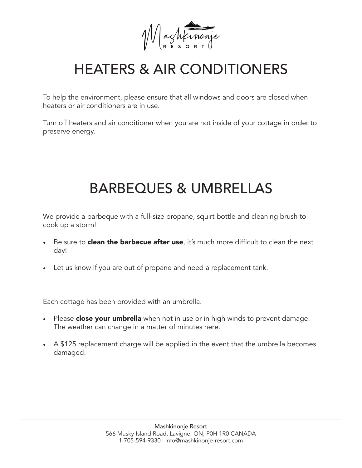Waghtinonie

# HEATERS & AIR CONDITIONERS

To help the environment, please ensure that all windows and doors are closed when heaters or air conditioners are in use.

Turn off heaters and air conditioner when you are not inside of your cottage in order to preserve energy.

## BARBEQUES & UMBRELLAS

We provide a barbeque with a full-size propane, squirt bottle and cleaning brush to cook up a storm!

- Be sure to **clean the barbecue after use**, it's much more difficult to clean the next day!
- Let us know if you are out of propane and need a replacement tank.

Each cottage has been provided with an umbrella.

- Please **close your umbrella** when not in use or in high winds to prevent damage. The weather can change in a matter of minutes here.
- A \$125 replacement charge will be applied in the event that the umbrella becomes damaged.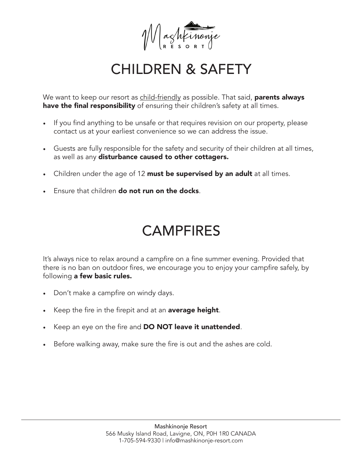

### CHILDREN & SAFETY

We want to keep our resort as child-friendly as possible. That said, parents always have the final responsibility of ensuring their children's safety at all times.

- If you find anything to be unsafe or that requires revision on our property, please contact us at your earliest convenience so we can address the issue.
- Guests are fully responsible for the safety and security of their children at all times, as well as any disturbance caused to other cottagers.
- Children under the age of 12 must be supervised by an adult at all times.
- **Fosure that children do not run on the docks.**

## CAMPFIRES

It's always nice to relax around a campfire on a fine summer evening. Provided that there is no ban on outdoor fires, we encourage you to enjoy your campfire safely, by following a few basic rules.

- Don't make a campfire on windy days.
- Keep the fire in the firepit and at an **average height**.
- Keep an eye on the fire and DO NOT leave it unattended.
- Before walking away, make sure the fire is out and the ashes are cold.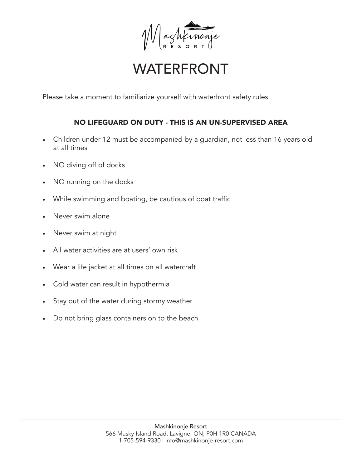

### WATERFRONT

Please take a moment to familiarize yourself with waterfront safety rules.

#### NO LIFEGUARD ON DUTY - THIS IS AN UN-SUPERVISED AREA

- Children under 12 must be accompanied by a guardian, not less than 16 years old at all times
- NO diving off of docks
- NO running on the docks
- While swimming and boating, be cautious of boat traffic
- Never swim alone
- Never swim at night
- All water activities are at users' own risk
- Wear a life jacket at all times on all watercraft
- Cold water can result in hypothermia
- Stay out of the water during stormy weather
- Do not bring glass containers on to the beach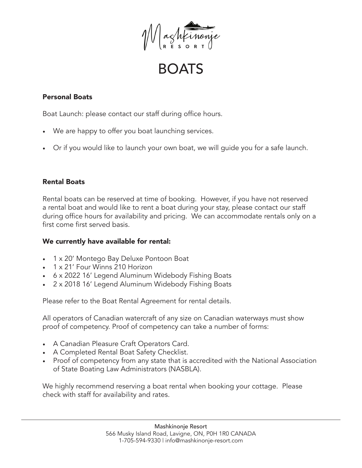

BOATS

#### Personal Boats

Boat Launch: please contact our staff during office hours.

- We are happy to offer you boat launching services.
- Or if you would like to launch your own boat, we will guide you for a safe launch.

#### Rental Boats

Rental boats can be reserved at time of booking. However, if you have not reserved a rental boat and would like to rent a boat during your stay, please contact our staff during office hours for availability and pricing. We can accommodate rentals only on a first come first served basis.

#### We currently have available for rental:

- 1 x 20' Montego Bay Deluxe Pontoon Boat
- 1 x 21' Four Winns 210 Horizon
- 6 x 2022 16' Legend Aluminum Widebody Fishing Boats
- 2 x 2018 16' Legend Aluminum Widebody Fishing Boats

Please refer to the Boat Rental Agreement for rental details.

All operators of Canadian watercraft of any size on Canadian waterways must show proof of competency. Proof of competency can take a number of forms:

- A Canadian Pleasure Craft Operators Card.
- A Completed Rental Boat Safety Checklist.
- Proof of competency from any state that is accredited with the National Association of State Boating Law Administrators (NASBLA).

We highly recommend reserving a boat rental when booking your cottage. Please check with staff for availability and rates.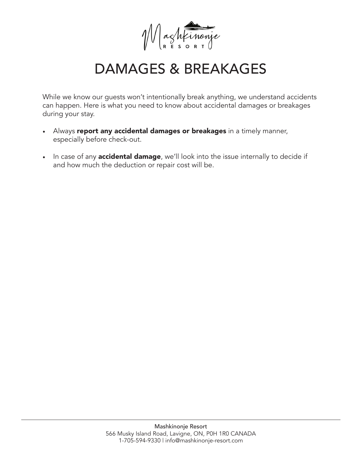

### DAMAGES & BREAKAGES

While we know our guests won't intentionally break anything, we understand accidents can happen. Here is what you need to know about accidental damages or breakages during your stay.

- Always report any accidental damages or breakages in a timely manner, especially before check-out.
- In case of any **accidental damage**, we'll look into the issue internally to decide if and how much the deduction or repair cost will be.